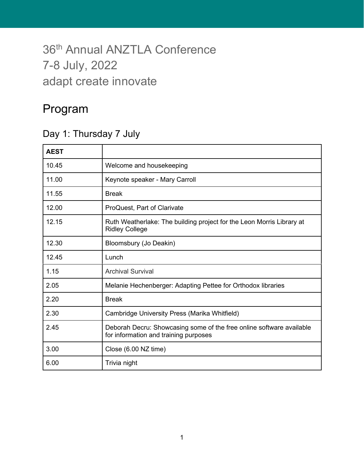# 36<sup>th</sup> Annual ANZTLA Conference 7-8 July, 2022 adapt create innovate

### Program

#### Day 1: Thursday 7 July

| <b>AEST</b> |                                                                                                               |  |  |  |
|-------------|---------------------------------------------------------------------------------------------------------------|--|--|--|
| 10.45       | Welcome and housekeeping                                                                                      |  |  |  |
| 11.00       | Keynote speaker - Mary Carroll                                                                                |  |  |  |
| 11.55       | <b>Break</b>                                                                                                  |  |  |  |
| 12.00       | ProQuest, Part of Clarivate                                                                                   |  |  |  |
| 12.15       | Ruth Weatherlake: The building project for the Leon Morris Library at<br><b>Ridley College</b>                |  |  |  |
| 12.30       | Bloomsbury (Jo Deakin)                                                                                        |  |  |  |
| 12.45       | Lunch                                                                                                         |  |  |  |
| 1.15        | <b>Archival Survival</b>                                                                                      |  |  |  |
| 2.05        | Melanie Hechenberger: Adapting Pettee for Orthodox libraries                                                  |  |  |  |
| 2.20        | <b>Break</b>                                                                                                  |  |  |  |
| 2.30        | Cambridge University Press (Marika Whitfield)                                                                 |  |  |  |
| 2.45        | Deborah Decru: Showcasing some of the free online software available<br>for information and training purposes |  |  |  |
| 3.00        | Close (6.00 NZ time)                                                                                          |  |  |  |
| 6.00        | Trivia night                                                                                                  |  |  |  |